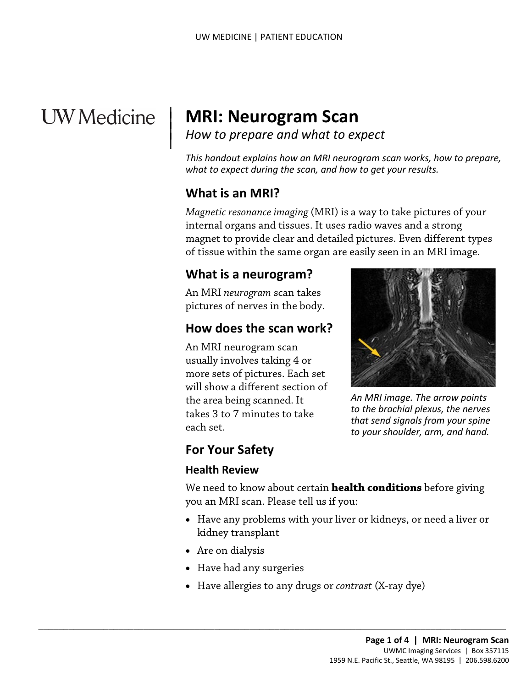# **UW** Medicine

 $\overline{\phantom{a}}$ 

# <sup>|</sup>**MRI: Neurogram Scan** | *How to prepare and what to expect* <sup>|</sup>

How to prepare and what to expect

 *This handout explains how an MRI neurogram scan works, how to prepare, what to expect during the scan, and how to get your results.* 

#### **What is an MRI?**

 internal organs and tissues. It uses radio waves and a strong magnet to provide clear and detailed pictures. Even different types *Magnetic resonance imaging* (MRI) is a way to take pictures of your of tissue within the same organ are easily seen in an MRI image.

#### **What is a neurogram?**

 An MRI *neurogram* scan takes pictures of nerves in the body.

## **How does the scan work?**

 An MRI neurogram scan the area being scanned. It usually involves taking 4 or more sets of pictures. Each set will show a different section of takes 3 to 7 minutes to take each set.



 *that send signals from your spine An MRI image. The arrow points to the brachial plexus, the nerves to your shoulder, arm, and hand.* 

## **For Your Safety**

#### **Health Review**

 you an MRI scan. Please tell us if you: We need to know about certain **health conditions** before giving

- Have any problems with your liver or kidneys, or need a liver or kidney transplant
- Are on dialysis
- Have had any surgeries

 $\_$  , and the set of the set of the set of the set of the set of the set of the set of the set of the set of the set of the set of the set of the set of the set of the set of the set of the set of the set of the set of th

• Have allergies to any drugs or *contrast* (X-ray dye)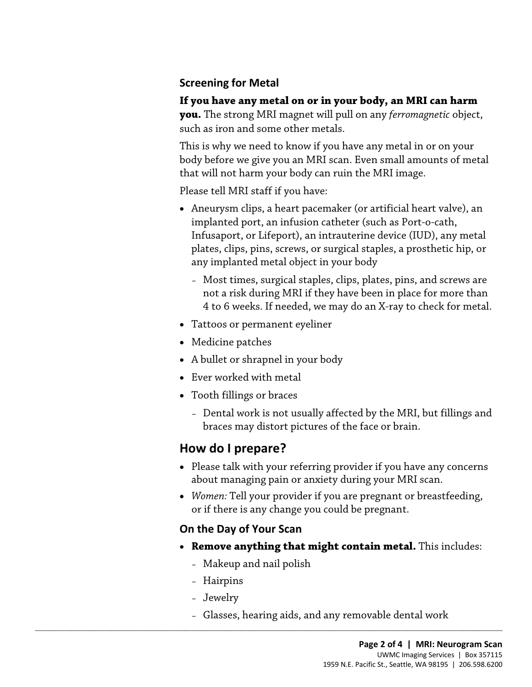#### **Screening for Metal**

#### **If you have any metal on or in your body, an MRI can harm you.** The strong MRI magnet will pull on any *ferromagnetic* object,

such as iron and some other metals. This is why we need to know if you have any metal in or on your body before we give you an MRI scan. Even small amounts of metal that will not harm your body can ruin the MRI image.

Please tell MRI staff if you have:

- Aneurysm clips, a heart pacemaker (or artificial heart valve), an implanted port, an infusion catheter (such as Port-o-cath, Infusaport, or Lifeport), an intrauterine device (IUD), any metal plates, clips, pins, screws, or surgical staples, a prosthetic hip, or any implanted metal object in your body
	- 4 to 6 weeks. If needed, we may do an X-ray to check for metal. – Most times, surgical staples, clips, plates, pins, and screws are not a risk during MRI if they have been in place for more than
- Tattoos or permanent eyeliner
- Medicine patches
- A bullet or shrapnel in your body
- Ever worked with metal
- • Tooth fillings or braces
	- Dental work is not usually affected by the MRI, but fillings and braces may distort pictures of the face or brain.

#### **How do I prepare?**

- Please talk with your referring provider if you have any concerns about managing pain or anxiety during your MRI scan.
- *Women:* Tell your provider if you are pregnant or breastfeeding, or if there is any change you could be pregnant.

#### **On the Day of Your Scan**

- • **Remove anything that might contain metal.** This includes:
	- Makeup and nail polish

 $\_$  ,  $\_$  ,  $\_$  ,  $\_$  ,  $\_$  ,  $\_$  ,  $\_$  ,  $\_$  ,  $\_$  ,  $\_$  ,  $\_$  ,  $\_$  ,  $\_$  ,  $\_$  ,  $\_$  ,  $\_$  ,  $\_$  ,  $\_$  ,  $\_$  ,  $\_$  ,  $\_$  ,  $\_$  ,  $\_$  ,  $\_$  ,  $\_$  ,  $\_$  ,  $\_$  ,  $\_$  ,  $\_$  ,  $\_$  ,  $\_$  ,  $\_$  ,  $\_$  ,  $\_$  ,  $\_$  ,  $\_$  ,  $\_$  ,

- Hairpins
- Jewelry
- Glasses, hearing aids, and any removable dental work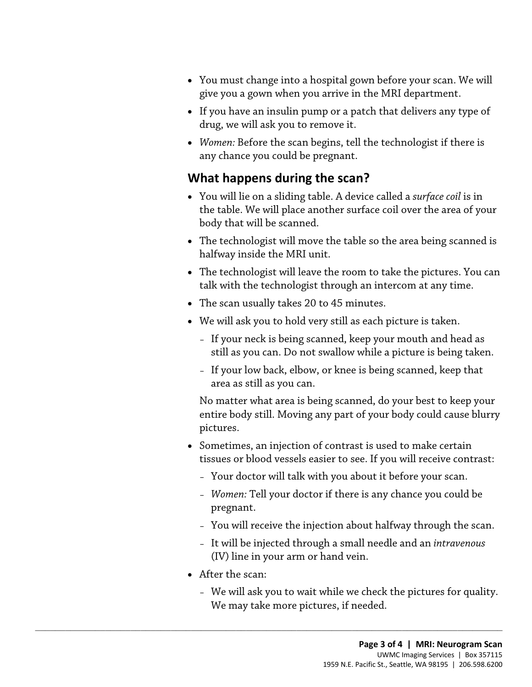- You must change into a hospital gown before your scan. We will give you a gown when you arrive in the MRI department.
- drug, we will ask you to remove it. • If you have an insulin pump or a patch that delivers any type of
- any chance you could be pregnant. • *Women:* Before the scan begins, tell the technologist if there is

## **What happens during the scan?**

- body that will be scanned. • You will lie on a sliding table. A device called a *surface coil* is in the table. We will place another surface coil over the area of your
- halfway inside the MRI unit. • The technologist will move the table so the area being scanned is
- • The technologist will leave the room to take the pictures. You can talk with the [technologist](javascript:glossAry() through an intercom at any time.
- The scan usually takes 20 to 45 minutes.
- • We will ask you to hold very still as each picture is taken.
	- If your neck is being scanned, keep your mouth and head as still as you can. Do not swallow while a picture is being taken.
	- area as still as you can. – If your low back, elbow, or knee is being scanned, keep that

No matter what area is being scanned, do your best to keep your entire body still. Moving any part of your body could cause blurry pictures.

- tissues or blood vessels easier to see. If you will receive contrast: • Sometimes, an injection of contrast is used to make certain
	- Your doctor will talk with you about it before your scan.
	- *Women:* Tell your doctor if there is any chance you could be pregnant.
	- You will receive the injection about halfway through the scan.
	- It will be injected through a small needle and an *intravenous*  (IV) line in your arm or hand vein.
- After the scan:

 $\_$  ,  $\_$  ,  $\_$  ,  $\_$  ,  $\_$  ,  $\_$  ,  $\_$  ,  $\_$  ,  $\_$  ,  $\_$  ,  $\_$  ,  $\_$  ,  $\_$  ,  $\_$  ,  $\_$  ,  $\_$  ,  $\_$  ,  $\_$  ,  $\_$  ,  $\_$  ,  $\_$  ,  $\_$  ,  $\_$  ,  $\_$  ,  $\_$  ,  $\_$  ,  $\_$  ,  $\_$  ,  $\_$  ,  $\_$  ,  $\_$  ,  $\_$  ,  $\_$  ,  $\_$  ,  $\_$  ,  $\_$  ,  $\_$  ,

– We will ask you to wait while we check the pictures for quality. We may take more pictures, if needed.